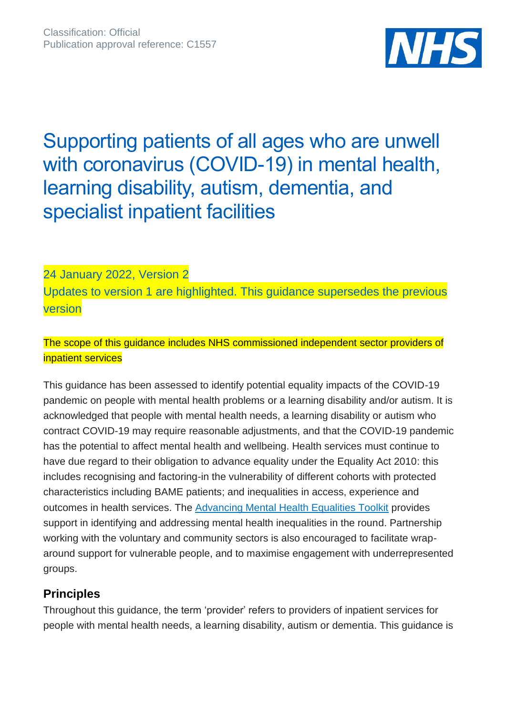

# Supporting patients of all ages who are unwell with coronavirus (COVID-19) in mental health, learning disability, autism, dementia, and specialist inpatient facilities

24 January 2022, Version 2 Updates to version 1 are highlighted. This guidance supersedes the previous version

## The scope of this guidance includes NHS commissioned independent sector providers of inpatient services

This guidance has been assessed to identify potential equality impacts of the COVID-19 pandemic on people with mental health problems or a learning disability and/or autism. It is acknowledged that people with mental health needs, a learning disability or autism who contract COVID-19 may require reasonable adjustments, and that the COVID-19 pandemic has the potential to affect mental health and wellbeing. Health services must continue to have due regard to their obligation to advance equality under the Equality Act 2010: this includes recognising and factoring-in the vulnerability of different cohorts with protected characteristics including BAME patients; and inequalities in access, experience and outcomes in health services. The [Advancing Mental Health Equalities Toolkit](https://www.england.nhs.uk/ltphimenu/mental-health/advancing-mental-health-equalities/) provides support in identifying and addressing mental health inequalities in the round. Partnership working with the voluntary and community sectors is also encouraged to facilitate wraparound support for vulnerable people, and to maximise engagement with underrepresented groups.

## **Principles**

Throughout this guidance, the term 'provider' refers to providers of inpatient services for people with mental health needs, a learning disability, autism or dementia. This guidance is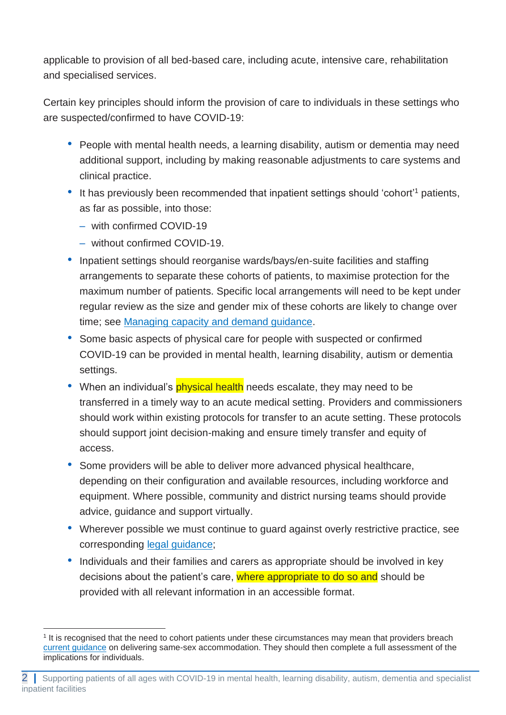applicable to provision of all bed-based care, including acute, intensive care, rehabilitation and specialised services.

Certain key principles should inform the provision of care to individuals in these settings who are suspected/confirmed to have COVID-19:

- People with mental health needs, a learning disability, autism or dementia may need additional support, including by making reasonable adjustments to care systems and clinical practice.
- It has previously been recommended that inpatient settings should 'cohort'<sup>1</sup> patients, as far as possible, into those:
	- with confirmed COVID-19
	- without confirmed COVID-19.
- Inpatient settings should reorganise wards/bays/en-suite facilities and staffing arrangements to separate these cohorts of patients, to maximise protection for the maximum number of patients. Specific local arrangements will need to be kept under regular review as the size and gender mix of these cohorts are likely to change over time; see [Managing capacity and demand guidance.](https://www.england.nhs.uk/coronavirus/publication/guidance-managing-capacity-and-demand-within-inpatient-and-community-mental-health-learning-disabilities-and-autism-services-for-all-ages/)
- Some basic aspects of physical care for people with suspected or confirmed COVID-19 can be provided in mental health, learning disability, autism or dementia settings.
- When an individual's **physical health** needs escalate, they may need to be transferred in a timely way to an acute medical setting. Providers and commissioners should work within existing protocols for transfer to an acute setting. These protocols should support joint decision-making and ensure timely transfer and equity of access.
- Some providers will be able to deliver more advanced physical healthcare, depending on their configuration and available resources, including workforce and equipment. Where possible, community and district nursing teams should provide advice, guidance and support virtually.
- Wherever possible we must continue to guard against overly restrictive practice, see corresponding [legal guidance;](https://www.england.nhs.uk/coronavirus/wp-content/uploads/sites/52/2020/03/C1075-legal-guidance-for-mh-ld-autism-specialised-commissioning-services-v4-25-jan-21.pdf)
- Individuals and their families and carers as appropriate should be involved in key decisions about the patient's care, where appropriate to do so and should be provided with all relevant information in an accessible format.

<sup>1</sup> It is recognised that the need to cohort patients under these circumstances may mean that providers breach [current guidance](https://improvement.nhs.uk/documents/6005/Delivering_same_sex_accommodation_sep2019.pdf) on delivering same-sex accommodation. They should then complete a full assessment of the implications for individuals.

<sup>2</sup> **|** Supporting patients of all ages with COVID-19 in mental health, learning disability, autism, dementia and specialist inpatient facilities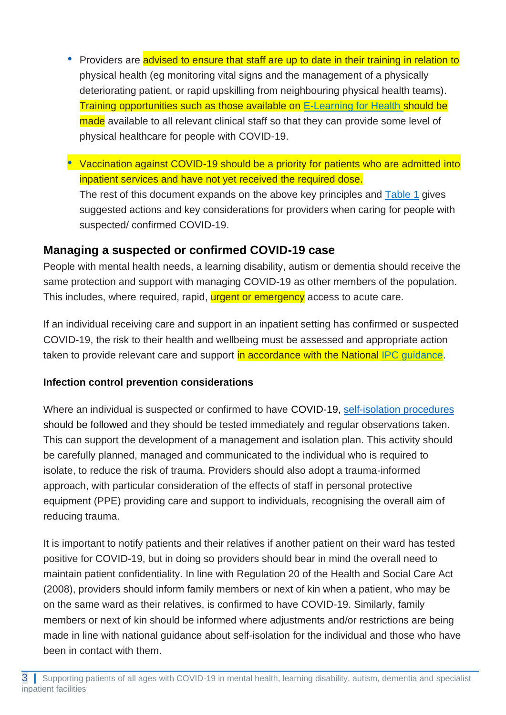- Providers are advised to ensure that staff are up to date in their training in relation to physical health (eg monitoring vital signs and the management of a physically deteriorating patient, or rapid upskilling from neighbouring physical health teams). Training opportunities such as those available on [E-Learning for Health](https://portal.e-lfh.org.uk/Catalogue/Index?HierarchyId=0_45016&programmeId=45016) should be made available to all relevant clinical staff so that they can provide some level of physical healthcare for people with COVID-19.
- Vaccination against COVID-19 should be a priority for patients who are admitted into inpatient services and have not yet received the required dose.

The rest of this document expands on the above key principles and [Table 1](#page-5-0) gives suggested actions and key considerations for providers when caring for people with suspected/ confirmed COVID-19.

# **Managing a suspected or confirmed COVID-19 case**

People with mental health needs, a learning disability, autism or dementia should receive the same protection and support with managing COVID-19 as other members of the population. This includes, where required, rapid, **urgent or emergency** access to acute care.

If an individual receiving care and support in an inpatient setting has confirmed or suspected COVID-19, the risk to their health and wellbeing must be assessed and appropriate action taken to provide relevant care and support in accordance with the National [IPC guidance.](https://www.gov.uk/government/publications/wuhan-novel-coronavirus-infection-prevention-and-control/covid-19-guidance-for-maintaining-services-within-health-and-care-settings-infection-prevention-and-control-recommendations)

## **Infection control prevention considerations**

Where an individual is suspected or confirmed to have [COVID-19, self-isolation procedures](https://www.nhs.uk/conditions/coronavirus-covid-19/self-isolation-advice/) [should be followed](https://www.nhs.uk/conditions/coronavirus-covid-19/self-isolation-advice/) and they should be tested immediately and regular observations taken. This can support the development of a management and isolation plan. This activity should be carefully planned, managed and communicated to the individual who is required to isolate, to reduce the risk of trauma. Providers should also adopt a trauma-informed approach, with particular consideration of the effects of staff in personal protective equipment (PPE) providing care and support to individuals, recognising the overall aim of reducing trauma.

It is important to notify patients and their relatives if another patient on their ward has tested positive for COVID-19, but in doing so providers should bear in mind the overall need to maintain patient confidentiality. In line with Regulation 20 of the Health and Social Care Act (2008), providers should inform family members or next of kin when a patient, who may be on the same ward as their relatives, is confirmed to have COVID-19. Similarly, family members or next of kin should be informed where adjustments and/or restrictions are being made in line with national guidance about self-isolation for the individual and those who have been in contact with them.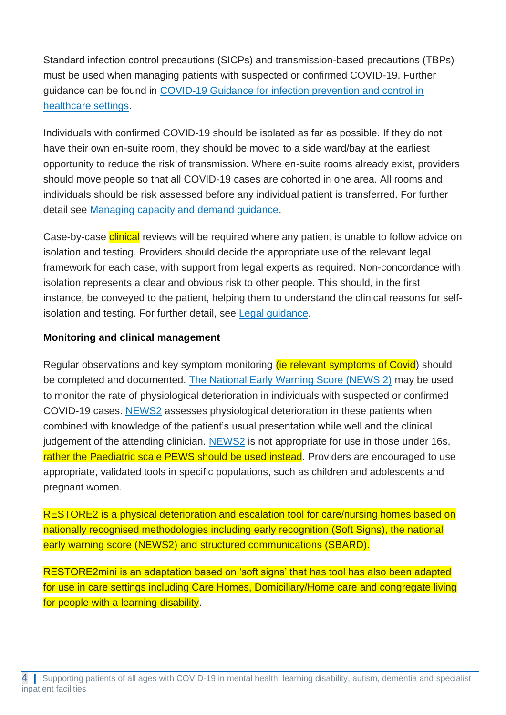Standard infection control precautions (SICPs) and transmission-based precautions (TBPs) must be used when managing patients with suspected or confirmed COVID-19. Further guidance can be found in [COVID-19 Guidance for infection prevention and control in](https://www.gov.uk/government/publications/wuhan-novel-coronavirus-infection-prevention-and-control)  [healthcare settings.](https://www.gov.uk/government/publications/wuhan-novel-coronavirus-infection-prevention-and-control)

Individuals with confirmed COVID-19 should be isolated as far as possible. If they do not have their own en-suite room, they should be moved to a side ward/bay at the earliest opportunity to reduce the risk of transmission. Where en-suite rooms already exist, providers should move people so that all COVID-19 cases are cohorted in one area. All rooms and individuals should be risk assessed before any individual patient is transferred. For further detail see [Managing capacity and demand guidance.](https://www.england.nhs.uk/coronavirus/publication/guidance-managing-capacity-and-demand-within-inpatient-and-community-mental-health-learning-disabilities-and-autism-services-for-all-ages/)

Case-by-case clinical reviews will be required where any patient is unable to follow advice on isolation and testing. Providers should decide the appropriate use of the relevant legal framework for each case, with support from legal experts as required. Non-concordance with isolation represents a clear and obvious risk to other people. This should, in the first instance, be conveyed to the patient, helping them to understand the clinical reasons for selfisolation and testing. For further detail, see [Legal](https://www.england.nhs.uk/coronavirus/wp-content/uploads/sites/52/2020/03/C1075-legal-guidance-for-mh-ld-autism-specialised-commissioning-services-v4-25-jan-21.pdf) guidance.

### **Monitoring and clinical management**

Regular observations and key symptom monitoring (ie relevant symptoms of Covid) should be completed and documented. [The National Early Warning Score \(NEWS 2\)](https://www.rcplondon.ac.uk/projects/outputs/national-early-warning-score-news-2) may be used to monitor the rate of physiological deterioration in individuals with suspected or confirmed COVID-19 cases. [NEWS2](https://www.rcplondon.ac.uk/projects/outputs/national-early-warning-score-news-2) assesses physiological deterioration in these patients when combined with knowledge of the patient's usual presentation while well and the clinical judgement of the attending clinician. [NEWS2](https://www.rcplondon.ac.uk/projects/outputs/national-early-warning-score-news-2) is not appropriate for use in those under 16s, rather the Paediatric scale PEWS should be used instead. Providers are encouraged to use appropriate, validated tools in specific populations, such as children and adolescents and pregnant women.

RESTORE2 is a physical deterioration and escalation tool for care/nursing homes based on nationally recognised methodologies including early recognition (Soft Signs), the national early warning score (NEWS2) and structured communications (SBARD).

RESTORE2mini is an adaptation based on 'soft signs' that has tool has also been adapted for use in care settings including Care Homes, Domiciliary/Home care and congregate living for people with a learning disability.

<sup>4</sup> **|** Supporting patients of all ages with COVID-19 in mental health, learning disability, autism, dementia and specialist inpatient facilities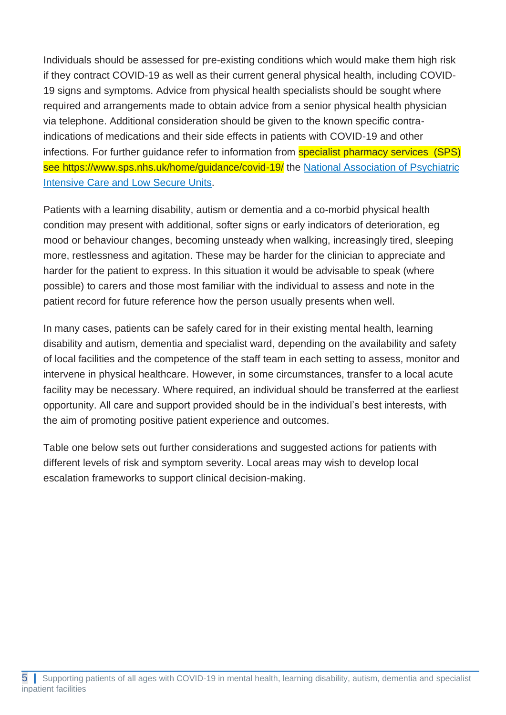Individuals should be assessed for pre-existing conditions which would make them high risk if they contract COVID-19 as well as their current general physical health, including COVID-19 signs and symptoms. Advice from physical health specialists should be sought where required and arrangements made to obtain advice from a senior physical health physician via telephone. Additional consideration should be given to the known specific contraindications of medications and their side effects in patients with COVID-19 and other infections. For further guidance refer to information from **specialist pharmacy services (SPS)** see https://www.sps.nhs.uk/home/guidance/covid-19/ the National Association of Psychiatric [Intensive Care and Low Secure Units.](https://napicu.org.uk/wp-content/uploads/2020/04/NAPICU-Guidance_rev2.pdf)

Patients with a learning disability, autism or dementia and a co-morbid physical health condition may present with additional, softer signs or early indicators of deterioration, eg mood or behaviour changes, becoming unsteady when walking, increasingly tired, sleeping more, restlessness and agitation. These may be harder for the clinician to appreciate and harder for the patient to express. In this situation it would be advisable to speak (where possible) to carers and those most familiar with the individual to assess and note in the patient record for future reference how the person usually presents when well.

In many cases, patients can be safely cared for in their existing mental health, learning disability and autism, dementia and specialist ward, depending on the availability and safety of local facilities and the competence of the staff team in each setting to assess, monitor and intervene in physical healthcare. However, in some circumstances, transfer to a local acute facility may be necessary. Where required, an individual should be transferred at the earliest opportunity. All care and support provided should be in the individual's best interests, with the aim of promoting positive patient experience and outcomes.

Table one below sets out further considerations and suggested actions for patients with different levels of risk and symptom severity. Local areas may wish to develop local escalation frameworks to support clinical decision-making.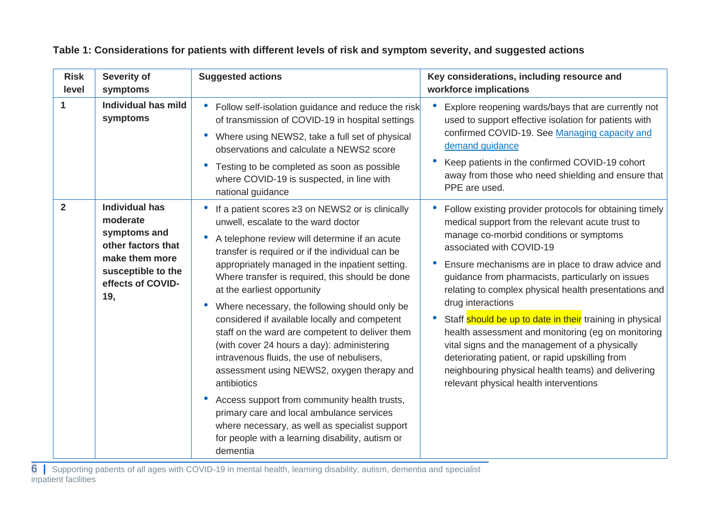<span id="page-5-0"></span>

| <b>Risk</b><br>level | <b>Severity of</b><br>symptoms                                                                                                              | <b>Suggested actions</b>                                                                                                                                                                                                                                                                                                                                                                                                                                                                                                                                                                                                                                                                                                                                                                                                                                                                 | Key considerations, including resource and<br>workforce implications                                                                                                                                                                                                                                                                                                                                                                                                                                                                                                                                                                                                                                           |  |
|----------------------|---------------------------------------------------------------------------------------------------------------------------------------------|------------------------------------------------------------------------------------------------------------------------------------------------------------------------------------------------------------------------------------------------------------------------------------------------------------------------------------------------------------------------------------------------------------------------------------------------------------------------------------------------------------------------------------------------------------------------------------------------------------------------------------------------------------------------------------------------------------------------------------------------------------------------------------------------------------------------------------------------------------------------------------------|----------------------------------------------------------------------------------------------------------------------------------------------------------------------------------------------------------------------------------------------------------------------------------------------------------------------------------------------------------------------------------------------------------------------------------------------------------------------------------------------------------------------------------------------------------------------------------------------------------------------------------------------------------------------------------------------------------------|--|
| $\mathbf{1}$         | Individual has mild<br>symptoms                                                                                                             | Follow self-isolation guidance and reduce the risk<br>of transmission of COVID-19 in hospital settings<br>Where using NEWS2, take a full set of physical<br>$\bullet$<br>observations and calculate a NEWS2 score<br>Testing to be completed as soon as possible<br>$\bullet$<br>where COVID-19 is suspected, in line with<br>national guidance                                                                                                                                                                                                                                                                                                                                                                                                                                                                                                                                          | Explore reopening wards/bays that are currently not<br>$\bullet$<br>used to support effective isolation for patients with<br>confirmed COVID-19. See Managing capacity and<br>demand guidance<br>Keep patients in the confirmed COVID-19 cohort<br>away from those who need shielding and ensure that<br>PPE are used.                                                                                                                                                                                                                                                                                                                                                                                         |  |
| $\overline{2}$       | <b>Individual has</b><br>moderate<br>symptoms and<br>other factors that<br>make them more<br>susceptible to the<br>effects of COVID-<br>19, | If a patient scores ≥3 on NEWS2 or is clinically<br>unwell, escalate to the ward doctor<br>A telephone review will determine if an acute<br>transfer is required or if the individual can be<br>appropriately managed in the inpatient setting.<br>Where transfer is required, this should be done<br>at the earliest opportunity<br>Where necessary, the following should only be<br>$\bullet$<br>considered if available locally and competent<br>staff on the ward are competent to deliver them<br>(with cover 24 hours a day): administering<br>intravenous fluids, the use of nebulisers,<br>assessment using NEWS2, oxygen therapy and<br>antibiotics<br>Access support from community health trusts,<br>$\bullet$<br>primary care and local ambulance services<br>where necessary, as well as specialist support<br>for people with a learning disability, autism or<br>dementia | Follow existing provider protocols for obtaining timely<br>medical support from the relevant acute trust to<br>manage co-morbid conditions or symptoms<br>associated with COVID-19<br>Ensure mechanisms are in place to draw advice and<br>guidance from pharmacists, particularly on issues<br>relating to complex physical health presentations and<br>drug interactions<br>Staff should be up to date in their training in physical<br>$\bullet$<br>health assessment and monitoring (eg on monitoring<br>vital signs and the management of a physically<br>deteriorating patient, or rapid upskilling from<br>neighbouring physical health teams) and delivering<br>relevant physical health interventions |  |

#### **Table 1: Considerations for patients with different levels of risk and symptom severity, and suggested actions**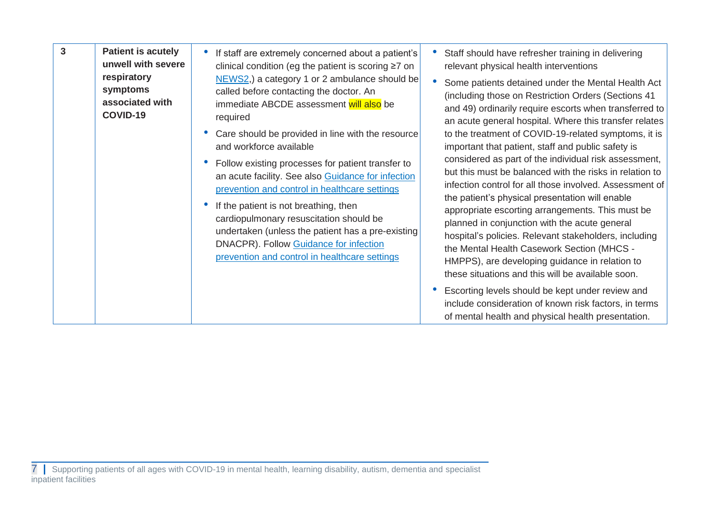| $\overline{3}$<br><b>Patient is acutely</b><br>respiratory<br>symptoms<br>associated with<br>COVID-19 | unwell with severe | If staff are extremely concerned about a patient's<br>clinical condition (eg the patient is scoring ≥7 on<br>NEWS2,) a category 1 or 2 ambulance should be<br>called before contacting the doctor. An<br>immediate ABCDE assessment will also be<br>required<br>Care should be provided in line with the resource<br>and workforce available<br>Follow existing processes for patient transfer to<br>an acute facility. See also Guidance for infection<br>prevention and control in healthcare settings<br>If the patient is not breathing, then<br>cardiopulmonary resuscitation should be<br>undertaken (unless the patient has a pre-existing<br>DNACPR). Follow Guidance for infection<br>prevention and control in healthcare settings | Staff should have refresher training in delivering<br>relevant physical health interventions<br>Some patients detained under the Mental Health Act<br>(including those on Restriction Orders (Sections 41)<br>and 49) ordinarily require escorts when transferred to<br>an acute general hospital. Where this transfer relates<br>to the treatment of COVID-19-related symptoms, it is<br>important that patient, staff and public safety is<br>considered as part of the individual risk assessment,<br>but this must be balanced with the risks in relation to<br>infection control for all those involved. Assessment of<br>the patient's physical presentation will enable<br>appropriate escorting arrangements. This must be<br>planned in conjunction with the acute general<br>hospital's policies. Relevant stakeholders, including<br>the Mental Health Casework Section (MHCS -<br>HMPPS), are developing guidance in relation to |
|-------------------------------------------------------------------------------------------------------|--------------------|----------------------------------------------------------------------------------------------------------------------------------------------------------------------------------------------------------------------------------------------------------------------------------------------------------------------------------------------------------------------------------------------------------------------------------------------------------------------------------------------------------------------------------------------------------------------------------------------------------------------------------------------------------------------------------------------------------------------------------------------|----------------------------------------------------------------------------------------------------------------------------------------------------------------------------------------------------------------------------------------------------------------------------------------------------------------------------------------------------------------------------------------------------------------------------------------------------------------------------------------------------------------------------------------------------------------------------------------------------------------------------------------------------------------------------------------------------------------------------------------------------------------------------------------------------------------------------------------------------------------------------------------------------------------------------------------------|
|                                                                                                       |                    |                                                                                                                                                                                                                                                                                                                                                                                                                                                                                                                                                                                                                                                                                                                                              | these situations and this will be available soon.<br>Escorting levels should be kept under review and<br>include consideration of known risk factors, in terms<br>of mental health and physical health presentation.                                                                                                                                                                                                                                                                                                                                                                                                                                                                                                                                                                                                                                                                                                                         |

<sup>7</sup> **|** Supporting patients of all ages with COVID-19 in mental health, learning disability, autism, dementia and specialist inpatient facilities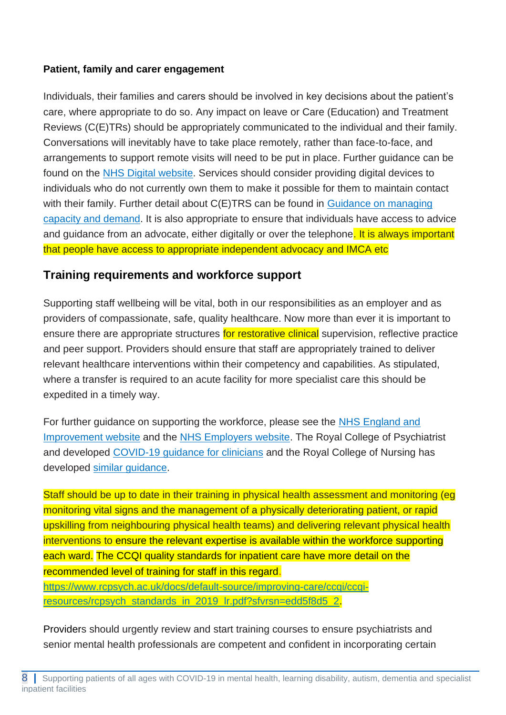## **Patient, family and carer engagement**

Individuals, their families and carers should be involved in key decisions about the patient's care, where appropriate to do so. Any impact on leave or Care (Education) and Treatment Reviews (C(E)TRs) should be appropriately communicated to the individual and their family. Conversations will inevitably have to take place remotely, rather than face-to-face, and arrangements to support remote visits will need to be put in place. Further guidance can be found on the [NHS Digital website.](https://www.nhsx.nhs.uk/key-information-and-tools/apps-and-tools) Services should consider providing digital devices to individuals who do not currently own them to make it possible for them to maintain contact with their family. Further detail about C(E)TRS can be found in Guidance on managing [capacity and demand.](https://www.england.nhs.uk/coronavirus/publication/guidance-managing-capacity-and-demand-within-inpatient-and-community-mental-health-learning-disabilities-and-autism-services-for-all-ages/) It is also appropriate to ensure that individuals have access to advice and guidance from an advocate, either digitally or over the telephone. It is always important that people have access to appropriate independent advocacy and IMCA etc

## **Training requirements and workforce support**

Supporting staff wellbeing will be vital, both in our responsibilities as an employer and as providers of compassionate, safe, quality healthcare. Now more than ever it is important to ensure there are appropriate structures for restorative clinical supervision, reflective practice and peer support. Providers should ensure that staff are appropriately trained to deliver relevant healthcare interventions within their competency and capabilities. As stipulated, where a transfer is required to an acute facility for more specialist care this should be expedited in a timely way.

For further guidance on supporting the workforce, please see the NHS England and [Improvement website](https://www.england.nhs.uk/coronavirus/wp-content/uploads/sites/52/2020/03/C0074-MHLDA-Covid-19-Guidance-Workforce-final-v1-1.pdf) and the [NHS Employers website.](https://www.nhsemployers.org/covid19/health-safety-and-wellbeing) The Royal College of Psychiatrist and developed [COVID-19 guidance for clinicians](https://www.rcpsych.ac.uk/about-us/responding-to-covid-19/responding-to-covid-19-guidance-for-clinicians/workforce-covid-19-guidance-for-clinicians) and the Royal College of Nursing has developed [similar guidance.](https://www.rcn.org.uk/covid-19)

Staff should be up to date in their training in physical health assessment and monitoring (eg monitoring vital signs and the management of a physically deteriorating patient, or rapid upskilling from neighbouring physical health teams) and delivering relevant physical health interventions to ensure the relevant expertise is available within the workforce supporting each ward. The CCQI quality standards for inpatient care have more detail on the recommended level of training for staff in this regard. [https://www.rcpsych.ac.uk/docs/default-source/improving-care/ccqi/ccqi-](https://www.rcpsych.ac.uk/docs/default-source/improving-care/ccqi/ccqi-resources/rcpsych_standards_in_2019_lr.pdf?sfvrsn=edd5f8d5_2)

[resources/rcpsych\\_standards\\_in\\_2019\\_lr.pdf?sfvrsn=edd5f8d5\\_2](https://www.rcpsych.ac.uk/docs/default-source/improving-care/ccqi/ccqi-resources/rcpsych_standards_in_2019_lr.pdf?sfvrsn=edd5f8d5_2).

Providers should urgently review and start training courses to ensure psychiatrists and senior mental health professionals are competent and confident in incorporating certain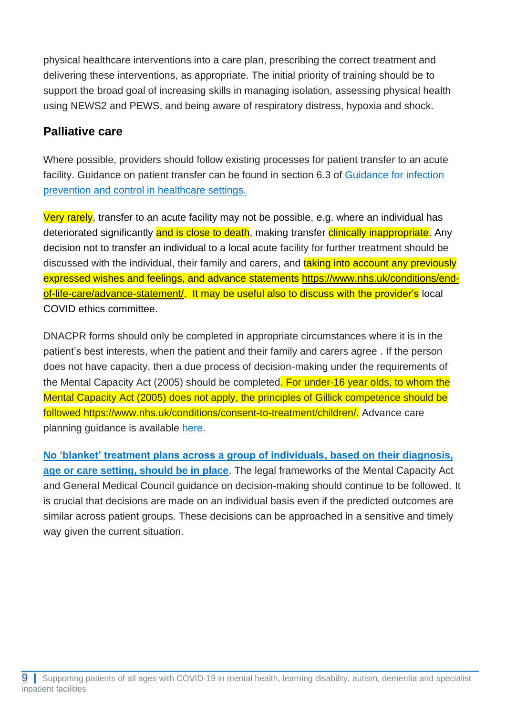physical healthcare interventions into a care plan, prescribing the correct treatment and delivering these interventions, as appropriate. The initial priority of training should be to support the broad goal of increasing skills in managing isolation, assessing physical health using NEWS2 and PEWS, and being aware of respiratory distress, hypoxia and shock.

# **Palliative care**

Where possible, providers should follow existing processes for patient transfer to an acute facility. Guidance on patient transfer can be found in section 6.3 of [Guidance for infection](https://www.gov.uk/government/publications/wuhan-novel-coronavirus-infection-prevention-and-control/reducing-the-risk-of-transmission-of-covid-19-in-the-hospital-setting)  [prevention and control in healthcare settings.](https://www.gov.uk/government/publications/wuhan-novel-coronavirus-infection-prevention-and-control/reducing-the-risk-of-transmission-of-covid-19-in-the-hospital-setting) 

Very rarely, transfer to an acute facility may not be possible, e.g. where an individual has deteriorated significantly and is close to death, making transfer clinically inappropriate. Any decision not to transfer an individual to a local acute facility for further treatment should be discussed with the individual, their family and carers, and taking into account any previously expressed wishes and feelings, and advance statements https://www.nhs.uk/conditions/endof-life-care/advance-statement/. It may be useful also to discuss with the provider's local COVID ethics committee.

DNACPR forms should only be completed in appropriate circumstances where it is in the patient's best interests, when the patient and their family and carers agree . If the person does not have capacity, then a due process of decision-making under the requirements of the Mental Capacity Act (2005) should be completed. For under-16 year olds, to whom the Mental Capacity Act (2005) does not apply, the principles of Gillick competence should be followed https://www.nhs.uk/conditions/consent-to-treatment/children/. Advance care planning guidance is available [here.](https://www.england.nhs.uk/coronavirus/publication/advance-care-planning-guidance-and-template/)

**[No 'blanket' treatment plans across a group of individuals,](https://www.england.nhs.uk/coronavirus/wp-content/uploads/sites/52/2020/04/maintaining-standards-quality-of-care-pressurised-circumstances-7-april-2020.pdf) based on their diagnosis, [age or care setting,](https://www.england.nhs.uk/coronavirus/wp-content/uploads/sites/52/2020/04/maintaining-standards-quality-of-care-pressurised-circumstances-7-april-2020.pdf) should be in place**. The legal frameworks of the Mental Capacity Act and General Medical Council guidance on decision-making should continue to be followed. It is crucial that decisions are made on an individual basis even if the predicted outcomes are similar across patient groups. These decisions can be approached in a sensitive and timely way given the current situation.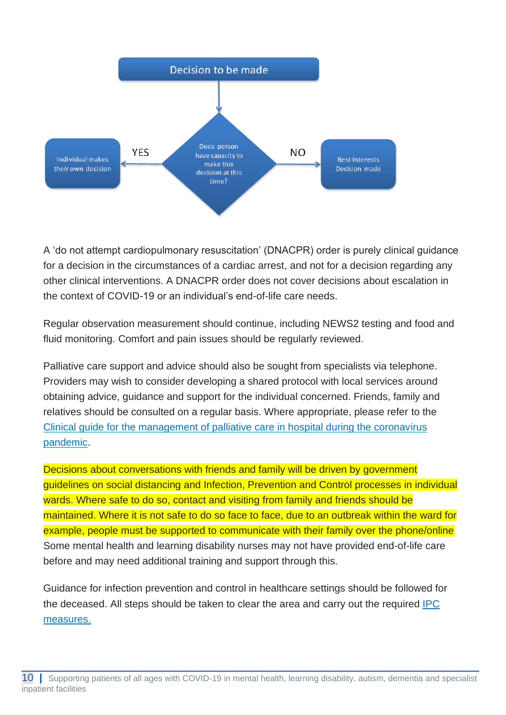

A 'do not attempt cardiopulmonary resuscitation' (DNACPR) order is purely clinical guidance for a decision in the circumstances of a cardiac arrest, and not for a decision regarding any other clinical interventions. A DNACPR order does not cover decisions about escalation in the context of COVID-19 or an individual's end-of-life care needs.

Regular observation measurement should continue, including NEWS2 testing and food and fluid monitoring. Comfort and pain issues should be regularly reviewed.

Palliative care support and advice should also be sought from specialists via telephone. Providers may wish to consider developing a shared protocol with local services around obtaining advice, guidance and support for the individual concerned. Friends, family and relatives should be consulted on a regular basis. Where appropriate, please refer to the [Clinical guide for the management of palliative care in hospital during the coronavirus](https://www.england.nhs.uk/coronavirus/wp-content/uploads/sites/52/2020/03/C0081-Speciality-guide-Palliative-care-and-coronavirus-FINAL-02.04.20.pdf)  [pandemic.](https://www.england.nhs.uk/coronavirus/wp-content/uploads/sites/52/2020/03/C0081-Speciality-guide-Palliative-care-and-coronavirus-FINAL-02.04.20.pdf)

Decisions about conversations with friends and family will be driven by government guidelines on social distancing and Infection, Prevention and Control processes in individual wards. Where safe to do so, contact and visiting from family and friends should be maintained. Where it is not safe to do so face to face, due to an outbreak within the ward for example, people must be supported to communicate with their family over the phone/online Some mental health and learning disability nurses may not have provided end-of-life care before and may need additional training and support through this.

Guidance for infection prevention and control in healthcare settings should be followed for the deceased. All steps should be taken to clear the area and carry out the required **IPC** [measures.](https://www.gov.uk/government/publications/wuhan-novel-coronavirus-infection-prevention-and-control/reducing-the-risk-of-transmission-of-covid-19-in-the-hospital-setting)

<sup>10</sup> **|** Supporting patients of all ages with COVID-19 in mental health, learning disability, autism, dementia and specialist inpatient facilities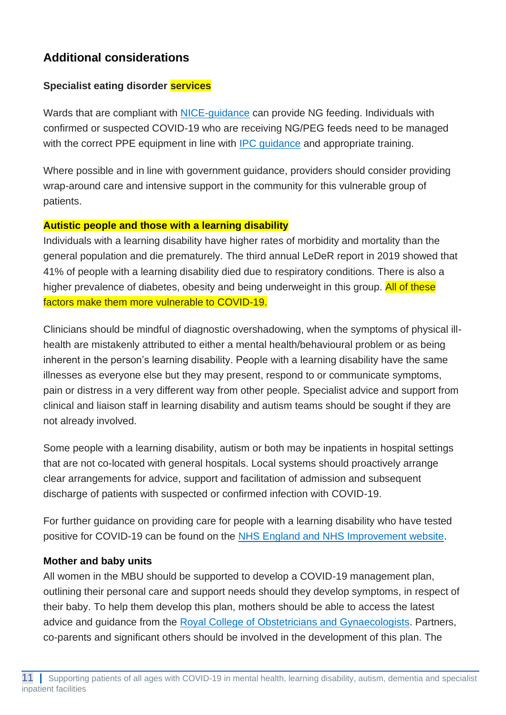# **Additional considerations**

## **Specialist eating disorder services**

Wards that are compliant with [NICE-guidance](https://www.nice.org.uk/guidance/ng69) can provide NG feeding. Individuals with confirmed or suspected COVID-19 who are receiving NG/PEG feeds need to be managed with the correct PPE equipment in line with **IPC** guidance and appropriate training.

Where possible and in line with government guidance, providers should consider providing wrap-around care and intensive support in the community for this vulnerable group of patients.

#### **Autistic people and those with a learning disability**

Individuals with a learning disability have higher rates of morbidity and mortality than the general population and die prematurely. The third annual LeDeR report in 2019 showed that 41% of people with a learning disability died due to respiratory conditions. There is also a higher prevalence of diabetes, obesity and being underweight in this group. All of these factors make them more vulnerable to COVID-19.

Clinicians should be mindful of diagnostic overshadowing, when the symptoms of physical illhealth are mistakenly attributed to either a mental health/behavioural problem or as being inherent in the person's learning disability. People with a learning disability have the same illnesses as everyone else but they may present, respond to or communicate symptoms, pain or distress in a very different way from other people. Specialist advice and support from clinical and liaison staff in learning disability and autism teams should be sought if they are not already involved.

Some people with a learning disability, autism or both may be inpatients in hospital settings that are not co-located with general hospitals. Local systems should proactively arrange clear arrangements for advice, support and facilitation of admission and subsequent discharge of patients with suspected or confirmed infection with COVID-19.

For further guidance on providing care for people with a learning disability who have tested positive for COVID-19 can be found on the [NHS England and NHS Improvement website.](https://www.england.nhs.uk/coronavirus/wp-content/uploads/sites/52/2020/03/C0031_Specialty-guide_LD-and-coronavirus-v1_-24-March.pdf)

## **Mother and baby units**

All women in the MBU should be supported to develop a COVID-19 management plan, outlining their personal care and support needs should they develop symptoms, in respect of their baby. To help them develop this plan, mothers should be able to access the latest advice and guidance from the [Royal College of Obstetricians and](https://www.rcog.org.uk/coronavirus-pregnancy) Gynaecologists. Partners, co-parents and significant others should be involved in the development of this plan. The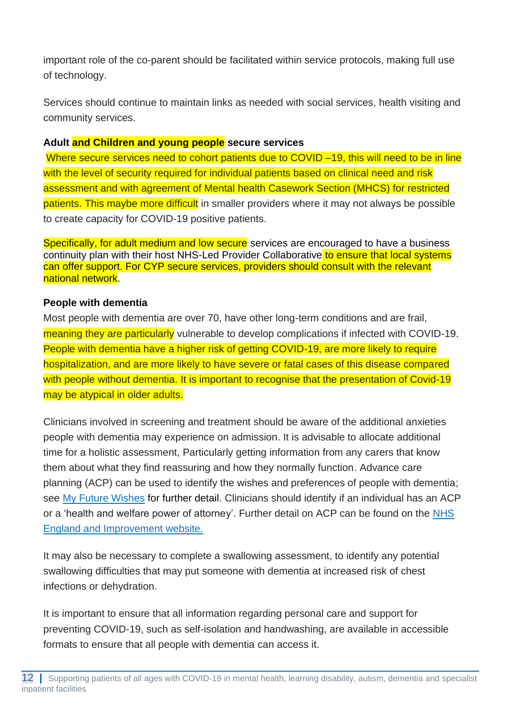important role of the co-parent should be facilitated within service protocols, making full use of technology.

Services should continue to maintain links as needed with social services, health visiting and community services.

#### **Adult and Children and young people secure services**

Where secure services need to cohort patients due to COVID –19, this will need to be in line with the level of security required for individual patients based on clinical need and risk assessment and with agreement of Mental health Casework Section (MHCS) for restricted patients. This maybe more difficult in smaller providers where it may not always be possible to create capacity for COVID-19 positive patients.

Specifically, for adult medium and low secure services are encouraged to have a business continuity plan with their host NHS-Led Provider Collaborative to ensure that local systems can offer support. For CYP secure services, providers should consult with the relevant national network.

### **People with dementia**

Most people with dementia are over 70, have other long-term conditions and are frail, meaning they are particularly vulnerable to develop complications if infected with COVID-19. People with dementia have a higher risk of getting COVID-19, are more likely to require hospitalization, and are more likely to have severe or fatal cases of this disease compared with people without dementia. It is important to recognise that the presentation of Covid-19 may be atypical in older adults.

Clinicians involved in screening and treatment should be aware of the additional anxieties people with dementia may experience on admission. It is advisable to allocate additional time for a holistic assessment, Particularly getting information from any carers that know them about what they find reassuring and how they normally function. Advance care planning (ACP) can be used to identify the wishes and preferences of people with dementia; see [My Future Wishes](https://www.england.nhs.uk/publication/my-future-wishes-advance-care-planning-acp-for-people-with-dementia-in-all-care-settings/) for further detail. Clinicians should identify if an individual has an ACP or a 'health and welfare power of attorney'. Further detail on ACP can be found on the NHS [England and Improvement website.](https://www.england.nhs.uk/coronavirus/publication/advance-care-planning-guidance-and-template/)

It may also be necessary to complete a swallowing assessment, to identify any potential swallowing difficulties that may put someone with dementia at increased risk of chest infections or dehydration.

It is important to ensure that all information regarding personal care and support for preventing COVID-19, such as self-isolation and handwashing, are available in accessible formats to ensure that all people with dementia can access it.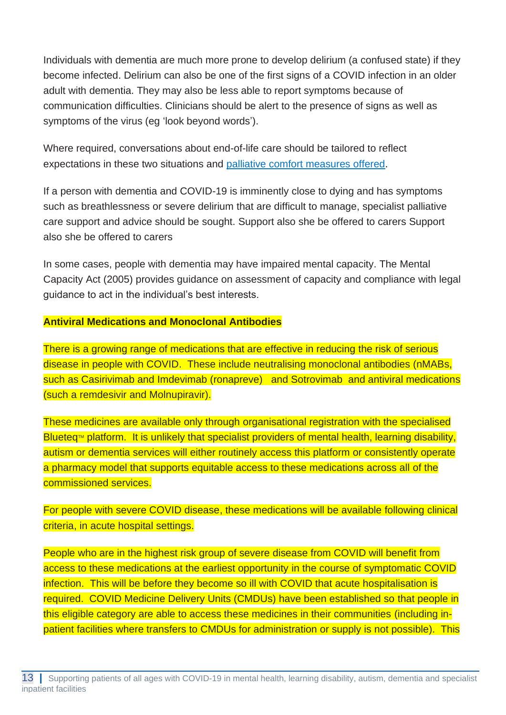Individuals with dementia are much more prone to develop delirium (a confused state) if they become infected. Delirium can also be one of the first signs of a COVID infection in an older adult with dementia. They may also be less able to report symptoms because of communication difficulties. Clinicians should be alert to the presence of signs as well as symptoms of the virus (eg 'look beyond words').

Where required, conversations about end-of-life care should be tailored to reflect expectations in these two situations and [palliative comfort measures offered.](https://www.england.nhs.uk/coronavirus/wp-content/uploads/sites/52/2020/03/C0081-Speciality-guide-Palliative-care-and-coronavirus-FINAL-02.04.20.pdf)

If a person with dementia and COVID-19 is imminently close to dying and has symptoms such as breathlessness or severe delirium that are difficult to manage, specialist palliative care support and advice should be sought. Support also she be offered to carers Support also she be offered to carers

In some cases, people with dementia may have impaired mental capacity. The Mental Capacity Act (2005) provides guidance on assessment of capacity and compliance with legal guidance to act in the individual's best interests.

#### **Antiviral Medications and Monoclonal Antibodies**

There is a growing range of medications that are effective in reducing the risk of serious disease in people with COVID. These include neutralising monoclonal antibodies (nMABs, such as Casirivimab and Imdevimab (ronapreve) and Sotrovimab and antiviral medications (such a remdesivir and Molnupiravir).

These medicines are available only through organisational registration with the specialised Blueteq<sup> $M$ </sup> platform. It is unlikely that specialist providers of mental health, learning disability, autism or dementia services will either routinely access this platform or consistently operate a pharmacy model that supports equitable access to these medications across all of the commissioned services.

For people with severe COVID disease, these medications will be available following clinical criteria, in acute hospital settings.

People who are in the highest risk group of severe disease from COVID will benefit from access to these medications at the earliest opportunity in the course of symptomatic COVID infection. This will be before they become so ill with COVID that acute hospitalisation is required. COVID Medicine Delivery Units (CMDUs) have been established so that people in this eligible category are able to access these medicines in their communities (including inpatient facilities where transfers to CMDUs for administration or supply is not possible). This

<sup>13 |</sup> Supporting patients of all ages with COVID-19 in mental health, learning disability, autism, dementia and specialist inpatient facilities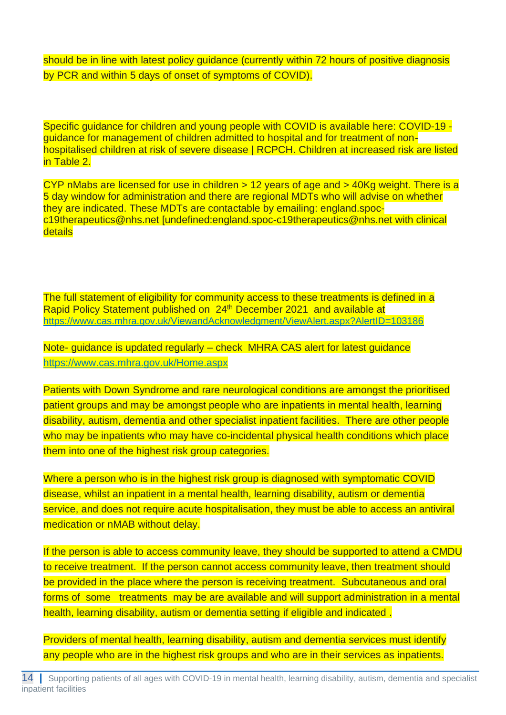should be in line with latest policy guidance (currently within 72 hours of positive diagnosis by PCR and within 5 days of onset of symptoms of COVID).

Specific guidance for children and young people with COVID is available here: [COVID-19](https://www.rcpch.ac.uk/resources/covid-19-management-children-hospital-and-non-hospitalised)  [guidance for management of children admitted to hospital and for treatment of non](https://www.rcpch.ac.uk/resources/covid-19-management-children-hospital-and-non-hospitalised)[hospitalised children at risk of severe disease | RCPCH.](https://www.rcpch.ac.uk/resources/covid-19-management-children-hospital-and-non-hospitalised) Children at increased risk are listed in Table 2.

CYP nMabs are licensed for use in children > 12 years of age and > 40Kg weight. There is a 5 day window for administration and there are regional MDTs who will advise on whether they are indicated. These MDTs are contactable by emailing: [england.spoc](mailto:england.spoc-c19therapeutics@nhs.net)[c19therapeutics@nhs.net](mailto:england.spoc-c19therapeutics@nhs.net) [\[undefined:england.spoc-c19therapeutics@nhs.net](mailto:undefined:england.spoc-c19therapeutics@nhs.net) with clinical details

The full statement of eligibility for community access to these treatments is defined in a Rapid Policy Statement published on 24<sup>th</sup> December 2021 and available at [https://www.cas.mhra.gov.uk/ViewandAcknowledgment/ViewAlert.aspx?AlertID=103186](https://lnks.gd/l/eyJhbGciOiJIUzI1NiJ9.eyJidWxsZXRpbl9saW5rX2lkIjoxMDAsInVyaSI6ImJwMjpjbGljayIsImJ1bGxldGluX2lkIjoiMjAyMTEyMjQuNTA4MDExNzEiLCJ1cmwiOiJodHRwczovL3d3dy5jYXMubWhyYS5nb3YudWsvVmlld2FuZEFja25vd2xlZGdtZW50L1ZpZXdBbGVydC5hc3B4P0FsZXJ0SUQ9MTAzMTg2In0.4bvikkpdehM4ylLNz2eupqx4Rjxmu2fykIqOAKqAQxM/s/1163648339/br/123698680609-l)

Note- guidance is updated regularly – check MHRA CAS alert for latest guidance <https://www.cas.mhra.gov.uk/Home.aspx>

Patients with Down Syndrome and rare neurological conditions are amongst the prioritised patient groups and may be amongst people who are inpatients in mental health, learning disability, autism, dementia and other specialist inpatient facilities. There are other people who may be inpatients who may have co-incidental physical health conditions which place them into one of the highest risk group categories.

Where a person who is in the highest risk group is diagnosed with symptomatic COVID disease, whilst an inpatient in a mental health, learning disability, autism or dementia service, and does not require acute hospitalisation, they must be able to access an antiviral medication or nMAB without delay.

If the person is able to access community leave, they should be supported to attend a CMDU to receive treatment. If the person cannot access community leave, then treatment should be provided in the place where the person is receiving treatment. Subcutaneous and oral forms of some treatments may be are available and will support administration in a mental health, learning disability, autism or dementia setting if eligible and indicated .

Providers of mental health, learning disability, autism and dementia services must identify any people who are in the highest risk groups and who are in their services as inpatients.